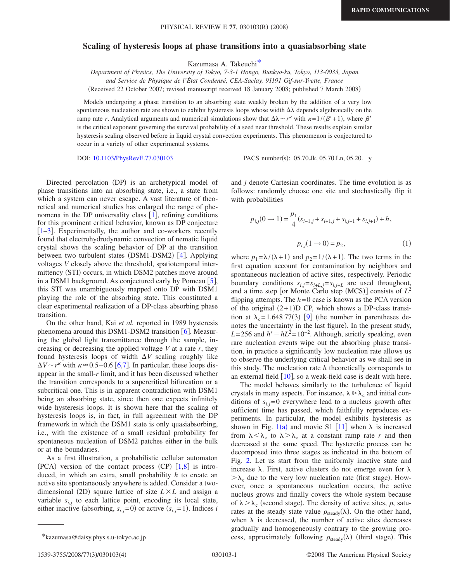## **Scaling of hysteresis loops at phase transitions into a quasiabsorbing state**

Kazumasa A. Takeuch[i\\*](#page-0-0)

*Department of Physics, The University of Tokyo, 7-3-1 Hongo, Bunkyo-ku, Tokyo, 113-0033, Japan and Service de Physique de l'État Condensé, CEA-Saclay, 91191 Gif-sur-Yvette, France* (Received 22 October 2007; revised manuscript received 18 January 2008; published 7 March 2008)

Models undergoing a phase transition to an absorbing state weakly broken by the addition of a very low spontaneous nucleation rate are shown to exhibit hysteresis loops whose width  $\Delta\lambda$  depends algebraically on the ramp rate *r*. Analytical arguments and numerical simulations show that  $\Delta\lambda \sim r^k$  with  $\kappa = 1/(\beta' + 1)$ , where  $\beta'$ is the critical exponent governing the survival probability of a seed near threshold. These results explain similar hysteresis scaling observed before in liquid crystal convection experiments. This phenomenon is conjectured to occur in a variety of other experimental systems.

DOI: [10.1103/PhysRevE.77.030103](http://dx.doi.org/10.1103/PhysRevE.77.030103)

PACS number(s): 05.70.Jk, 05.70.Ln, 05.20. - y

Directed percolation (DP) is an archetypical model of phase transitions into an absorbing state, i.e., a state from which a system can never escape. A vast literature of theoretical and numerical studies has enlarged the range of phenomena in the DP universality class  $[1]$  $[1]$  $[1]$ , refining conditions for this prominent critical behavior, known as DP conjecture  $\left[1-3\right]$  $\left[1-3\right]$  $\left[1-3\right]$ . Experimentally, the author and co-workers recently found that electrohydrodynamic convection of nematic liquid crystal shows the scaling behavior of DP at the transition between two turbulent states (DSM1-DSM2) [[4](#page-3-2)]. Applying voltages *V* closely above the threshold, spatiotemporal intermittency (STI) occurs, in which DSM2 patches move around in a DSM1 background. As conjectured early by Pomeau  $\lceil 5 \rceil$  $\lceil 5 \rceil$  $\lceil 5 \rceil$ , this STI was unambiguously mapped onto DP with DSM1 playing the role of the absorbing state. This constituted a clear experimental realization of a DP-class absorbing phase transition.

On the other hand, Kai *et al.* reported in 1989 hysteresis phenomena around this DSM1-DSM2 transition  $[6]$  $[6]$  $[6]$ . Measuring the global light transmittance through the sample, increasing or decreasing the applied voltage *V* at a rate *r*, they found hysteresis loops of width  $\Delta V$  scaling roughly like  $\Delta V \sim r^{\kappa}$  with  $\kappa \approx 0.5 - 0.6$  $\kappa \approx 0.5 - 0.6$  [6[,7](#page-3-5)]. In particular, these loops disappear in the small-*r* limit, and it has been discussed whether the transition corresponds to a supercritical bifurcation or a subcritical one. This is in apparent contradiction with DSM1 being an absorbing state, since then one expects infinitely wide hysteresis loops. It is shown here that the scaling of hysteresis loops is, in fact, in full agreement with the DP framework in which the DSM1 state is only quasiabsorbing, i.e., with the existence of a small residual probability for spontaneous nucleation of DSM2 patches either in the bulk or at the boundaries.

As a first illustration, a probabilistic cellular automaton (PCA) version of the contact process (CP)  $[1,8]$  $[1,8]$  $[1,8]$  $[1,8]$  is introduced, in which an extra, small probability *h* to create an active site spontaneously anywhere is added. Consider a twodimensional (2D) square lattice of size  $L \times L$  and assign a variable  $s_{i,j}$  to each lattice point, encoding its local state, either inactive (absorbing,  $s_{i,j} = 0$ ) or active  $(s_{i,j} = 1)$ . Indices *i* 

and *j* denote Cartesian coordinates. The time evolution is as follows: randomly choose one site and stochastically flip it with probabilities

$$
p_{i,j}(0 \to 1) = \frac{p_1}{4}(s_{i-1,j} + s_{i+1,j} + s_{i,j-1} + s_{i,j+1}) + h,
$$
  

$$
p_{i,j}(1 \to 0) = p_2,
$$
 (1)

where  $p_1 = \lambda/(\lambda + 1)$  and  $p_2 = 1/(\lambda + 1)$ . The two terms in the first equation account for contamination by neighbors and spontaneous nucleation of active sites, respectively. Periodic boundary conditions  $s_{i,j}=s_{i+L,j}=s_{i,j+L}$  are used throughout, and a time step [or Monte Carlo step (MCS)] consists of  $L^2$ flipping attempts. The  $h=0$  case is known as the PCA version of the original  $(2+1)D$  CP, which shows a DP-class transition at  $\lambda_c = 1.64877(3)$  [[9](#page-3-7)] (the number in parentheses denotes the uncertainty in the last figure). In the present study,  $L = 256$  and  $h' \equiv hL^2 = 10^{-2}$ . Although, strictly speaking, even rare nucleation events wipe out the absorbing phase transition, in practice a significantly low nucleation rate allows us to observe the underlying critical behavior as we shall see in this study. The nucleation rate *h* theoretically corresponds to an external field  $\lceil 10 \rceil$  $\lceil 10 \rceil$  $\lceil 10 \rceil$ , so a weak-field case is dealt with here.

The model behaves similarly to the turbulence of liquid crystals in many aspects. For instance,  $\lambda \gg \lambda_c$  and initial conditions of  $s_{i,j}=0$  everywhere lead to a nucleus growth after sufficient time has passed, which faithfully reproduces experiments. In particular, the model exhibits hysteresis as shown in Fig. [1](#page-1-0)(a) and movie S1 [[11](#page-3-9)] when  $\lambda$  is increased from  $\lambda < \lambda_c$  to  $\lambda > \lambda_c$  at a constant ramp rate *r* and then decreased at the same speed. The hysteretic process can be decomposed into three stages as indicated in the bottom of Fig. [2.](#page-1-1) Let us start from the uniformly inactive state and increase  $\lambda$ . First, active clusters do not emerge even for  $\lambda$  $>\lambda_c$  due to the very low nucleation rate (first stage). However, once a spontaneous nucleation occurs, the active nucleus grows and finally covers the whole system because of  $\lambda > \lambda_c$  (second stage). The density of active sites,  $\rho$ , saturates at the steady state value  $\rho_{\text{steady}}(\lambda)$ . On the other hand, when  $\lambda$  is decreased, the number of active sites decreases gradually and homogeneously contrary to the growing pro-\*kazumasa@daisy.phys.s.u-tokyo.ac.jp cess, approximately following  $\rho_{\text{steady}}(\lambda)$  (third stage). This

<span id="page-0-0"></span>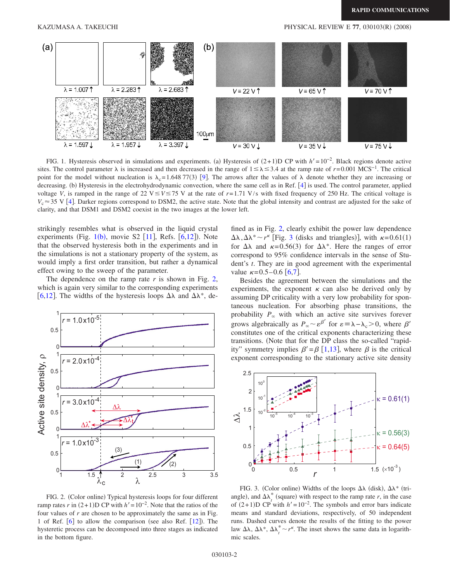<span id="page-1-0"></span>

FIG. 1. Hysteresis observed in simulations and experiments. (a) Hysteresis of  $(2+1)D$  CP with  $h' = 10^{-2}$ . Black regions denote active sites. The control parameter  $\lambda$  is increased and then decreased in the range of  $1 \leq \lambda \leq 3.4$  at the ramp rate of *r*=0.001 MCS<sup>-1</sup>. The critical point for the model without nucleation is  $\lambda_c = 1.648 77(3)$  [[9](#page-3-7)]. The arrows after the values of  $\lambda$  denote whether they are increasing or decreasing. (b) Hysteresis in the electrohydrodynamic convection, where the same cell as in Ref. [[4](#page-3-2)] is used. The control parameter, applied voltage *V*, is ramped in the range of 22  $V \le V \le 75$  V at the rate of  $r = 1.71$  V/s with fixed frequency of 250 Hz. The critical voltage is  $V_c \approx 35$  V [[4](#page-3-2)]. Darker regions correspond to DSM2, the active state. Note that the global intensity and contrast are adjusted for the sake of clarity, and that DSM1 and DSM2 coexist in the two images at the lower left.

strikingly resembles what is observed in the liquid crystal experiments (Fig.  $1(b)$  $1(b)$ , movie S2  $[11]$  $[11]$  $[11]$ , Refs.  $[6, 12]$  $[6, 12]$  $[6, 12]$ ). Note that the observed hysteresis both in the experiments and in the simulations is not a stationary property of the system, as would imply a first order transition, but rather a dynamical effect owing to the sweep of the parameter.

The dependence on the ramp rate  $r$  is shown in Fig. [2,](#page-1-1) which is again very similar to the corresponding experiments [[6](#page-3-4)[,12](#page-3-10)]. The widths of the hysteresis loops  $\Delta\lambda$  and  $\Delta\lambda^*$ , de-

<span id="page-1-1"></span>

FIG. 2. (Color online) Typical hysteresis loops for four different ramp rates *r* in  $(2+1)D$  CP with  $h' = 10^{-2}$ . Note that the ratios of the four values of *r* are chosen to be approximately the same as in Fig. 1 of Ref.  $[6]$  $[6]$  $[6]$  to allow the comparison (see also Ref.  $[12]$  $[12]$  $[12]$ ). The hysteretic process can be decomposed into three stages as indicated in the bottom figure.

fined as in Fig. [2,](#page-1-1) clearly exhibit the power law dependence  $\Delta\lambda$ ,  $\Delta\lambda^* \sim r^{\kappa}$  [Fig. [3](#page-1-2) (disks and triangles)], with  $\kappa$ =0.61(1) for  $\Delta\lambda$  and  $\kappa = 0.56(3)$  for  $\Delta\lambda^*$ . Here the ranges of error correspond to 95% confidence intervals in the sense of Student's *t*. They are in good agreement with the experimental value  $\kappa = 0.5 - 0.6$  $\kappa = 0.5 - 0.6$  [6[,7](#page-3-5)].

Besides the agreement between the simulations and the experiments, the exponent  $\kappa$  can also be derived only by assuming DP criticality with a very low probability for spontaneous nucleation. For absorbing phase transitions, the probability  $P_{\infty}$  with which an active site survives forever grows algebraically as  $P_{\infty} \sim \varepsilon^{\beta'}$  for  $\varepsilon = \lambda - \lambda_c > 0$ , where  $\beta'$ constitutes one of the critical exponents characterizing these transitions. Note that for the DP class the so-called "rapidity" symmetry implies  $\beta' = \beta$  [[1](#page-3-0)[,13](#page-3-11)], where  $\beta$  is the critical exponent corresponding to the stationary active site density

<span id="page-1-2"></span>

FIG. 3. (Color online) Widths of the loops  $\Delta\lambda$  (disk),  $\Delta\lambda^*$  (triangle), and  $\Delta \lambda^*$  (square) with respect to the ramp rate *r*, in the case of  $(2+1)D$  CP with  $h' = 10^{-2}$ . The symbols and error bars indicate means and standard deviations, respectively, of 50 independent runs. Dashed curves denote the results of the fitting to the power law  $\Delta\lambda$ ,  $\Delta\lambda^*$ ,  $\Delta\lambda^*$   $\sim$  *r*<sup>*k*</sup>. The inset shows the same data in logarithmic scales.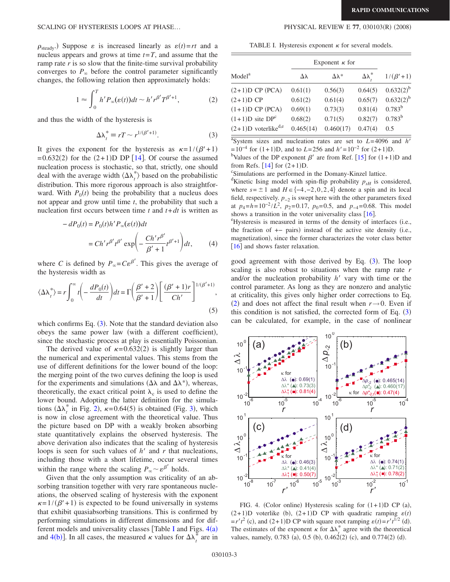$(2008)$ 

 $\rho_{\text{steady}}$ ) Suppose  $\varepsilon$  is increased linearly as  $\varepsilon(t) = rt$  and a nucleus appears and grows at time  $t = T$ , and assume that the ramp rate *r* is so slow that the finite-time survival probability converges to  $P_{\infty}$  before the control parameter significantly changes, the following relation then approximately holds:

$$
1 \approx \int_0^T h' P_\infty(\varepsilon(t)) dt \sim h' r^{\beta'} T^{\beta'+1}, \tag{2}
$$

<span id="page-2-3"></span><span id="page-2-0"></span>and thus the width of the hysteresis is

$$
\Delta \lambda_t^* \equiv rT \sim r^{1/(\beta'+1)}.\tag{3}
$$

It gives the exponent for the hysteresis as  $\kappa = 1/(\beta' + 1)$  $= 0.632(2)$  for the  $(2+1)$ D DP [[14](#page-3-12)]. Of course the assumed nucleation process is stochastic, so that, strictly, one should deal with the average width  $\langle \Delta \lambda_i^* \rangle$  based on the probabilistic distribution. This more rigorous approach is also straightforward. With  $P_0(t)$  being the probability that a nucleus does not appear and grow until time *t*, the probability that such a nucleation first occurs between time  $t$  and  $t + dt$  is written as

$$
-dP_0(t) = P_0(t)h'P_\infty(\varepsilon(t))dt
$$
  

$$
= Ch'r^{\beta'}t^{\beta'}\exp\left(-\frac{Ch'r^{\beta'}}{\beta'+1}t^{\beta'+1}\right)dt,
$$
 (4)

where *C* is defined by  $P_{\infty} = C \varepsilon^{\beta'}$ . This gives the average of the hysteresis width as

$$
\langle \Delta \lambda_t^* \rangle = r \int_0^\infty t \left( -\frac{dP_0(t)}{dt} \right) dt = \Gamma \left( \frac{\beta' + 2}{\beta' + 1} \right) \left[ \frac{(\beta' + 1)r}{Ch'} \right]^{1/(\beta' + 1)},\tag{5}
$$

which confirms Eq.  $(3)$  $(3)$  $(3)$ . Note that the standard deviation also obeys the same power law (with a different coefficient), since the stochastic process at play is essentially Poissonian.

The derived value of  $\kappa = 0.632(2)$  is slightly larger than the numerical and experimental values. This stems from the use of different definitions for the lower bound of the loop: the merging point of the two curves defining the loop is used for the experiments and simulations ( $\Delta \lambda$  and  $\Delta \lambda^*$ ), whereas, theoretically, the exact critical point  $\lambda_c$  is used to define the lower bound. Adopting the latter definition for the simulations  $(\Delta \lambda_t^*$  in Fig. [2](#page-1-1)),  $\kappa = 0.64(5)$  is obtained (Fig. [3](#page-1-2)), which is now in close agreement with the theoretical value. Thus the picture based on DP with a weakly broken absorbing state quantitatively explains the observed hysteresis. The above derivation also indicates that the scaling of hysteresis loops is seen for such values of *h'* and *r* that nucleations, including those with a short lifetime, occur several times within the range where the scaling  $P_{\infty} \sim \varepsilon^{\beta'}$  holds.

Given that the only assumption was criticality of an absorbing transition together with very rare spontaneous nucleations, the observed scaling of hysteresis with the exponent  $\kappa = 1/(\beta' + 1)$  is expected to be found universally in systems that exhibit quasiabsorbing transitions. This is confirmed by performing simulations in different dimensions and for dif-ferent models and universality classes [Table [I](#page-2-1) and Figs.  $4(a)$  $4(a)$ and [4](#page-2-2)(b)]. In all cases, the measured  $\kappa$  values for  $\Delta \lambda_t^*$  are in

TABLE I. Hysteresis exponent  $\kappa$  for several models.

<span id="page-2-1"></span>

| Model <sup>a</sup>                | Exponent $\kappa$ for |                   |         |                  |
|-----------------------------------|-----------------------|-------------------|---------|------------------|
|                                   | Δλ                    | $\Delta\lambda^*$ | $Δλ^*$  | $1/(\beta' + 1)$ |
| $(2+1)D$ CP (PCA)                 | 0.61(1)               | 0.56(3)           | 0.64(5) | $0.632(2)^{b}$   |
| $(2+1)D$ CP                       | 0.61(2)               | 0.61(4)           | 0.65(7) | $0.632(2)^{b}$   |
| $(1+1)D$ CP (PCA)                 | 0.69(1)               | 0.73(3)           | 0.81(4) | $0.783^{b}$      |
| $(1+1)D$ site $DPc$               | 0.68(2)               | 0.71(5)           | 0.82(7) | $0.783^{b}$      |
| $(2+1)D$ voterlike <sup>d,e</sup> | 0.465(14)             | 0.460(17)         | 0.47(4) | 0.5              |

<sup>a</sup>System sizes and nucleation rates are set to  $L=4096$  and *h'*  $= 10^{-4}$  for  $(1+1)D$ , and to  $L = 256$  and  $h' = 10^{-2}$  for  $(2+1)D$ .<br><sup>b</sup>Velues of the DP exponent  $\beta'$  are from Pet [15] for  $(1+1)$ 

Values of the DP exponent  $\beta'$  are from Ref. [[15](#page-3-13)] for  $(1+1)D$  and from Refs.  $[14]$  $[14]$  $[14]$  for  $(2+1)D$ .

Simulations are performed in the Domany-Kinzel lattice.

<sup>d</sup>Kinetic Ising model with spin-flip probability  $p_{sH}$  is considered, where  $s = \pm 1$  and  $H \in \{-4, -2, 0, 2, 4\}$  denote a spin and its local field, respectively. *p*−2 is swept here with the other parameters fixed at  $p_4 = h = 10^{-2}/L^2$ ,  $p_2 = 0.17$ ,  $p_0 = 0.5$ , and  $p_{-4} = 0.68$ . This model shows a transition in the voter universality class  $[16]$  $[16]$  $[16]$ .

 $\mathrm{^{e}H}$ ysteresis is measured in terms of the density of interfaces (i.e., the fraction of +− pairs) instead of the active site density (i.e., magnetization), since the former characterizes the voter class better [[16](#page-3-14)] and shows faster relaxation.

good agreement with those derived by Eq. ([3](#page-2-0)). The loop scaling is also robust to situations when the ramp rate *r* and/or the nucleation probability  $h'$  vary with time or the control parameter. As long as they are nonzero and analytic at criticality, this gives only higher order corrections to Eq. ([2](#page-2-3)) and does not affect the final result when  $r \rightarrow 0$ . Even if this condition is not satisfied, the corrected form of Eq.  $(3)$  $(3)$  $(3)$ can be calculated, for example, in the case of nonlinear

<span id="page-2-2"></span>

FIG. 4. (Color online) Hysteresis scaling for  $(1+1)D$  CP (a),  $(2+1)$ D voterlike (b),  $(2+1)$ D CP with quadratic ramping  $\varepsilon(t)$  $=r't^2$  (c), and  $(2+1)D$  CP with square root ramping  $\varepsilon(t) = r't^{1/2}$  (d). The estimates of the exponent  $\kappa$  for  $\Delta \lambda^*$  agree with the theoretical values, namely, 0.783 (a), 0.5 (b), 0.462(2) (c), and 0.774(2) (d).